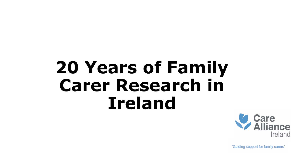# **20 Years of Family Carer Research in Ireland**

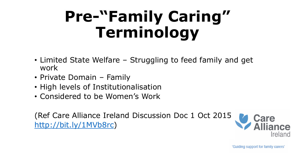# **Pre-"Family Caring" Terminology**

- Limited State Welfare Struggling to feed family and get work
- Private Domain Family
- High levels of Institutionalisation
- Considered to be Women's Work

(Ref Care Alliance Ireland Discussion Doc 1 Oct 2015 <http://bit.ly/1MVb8rc>)

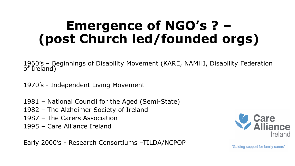### **Emergence of NGO's ? – (post Church led/founded orgs)**

1960's – Beginnings of Disability Movement (KARE, NAMHI, Disability Federation of Ireland)

1970's - Independent Living Movement

- 1981 National Council for the Aged (Semi-State)
- 1982 The Alzheimer Society of Ireland
- 1987 The Carers Association
- 1995 Care Alliance Ireland

Early 2000's - Research Consortiums –TILDA/NCPOP

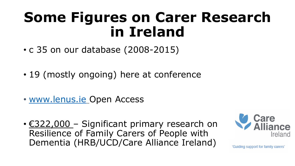### **Some Figures on Carer Research in Ireland**

- c 35 on our database (2008-2015)
- 19 (mostly ongoing) here at conference
- [www.lenus.ie](http://www.lenus.ie/) Open Access
- €322,000 Significant primary research on Resilience of Family Carers of People with Dementia (HRB/UCD/Care Alliance Ireland)

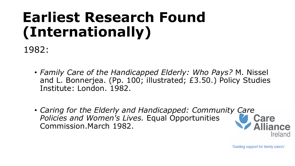### **Earliest Research Found (Internationally)**

1982:

- *Family Care of the Handicapped Elderly: Who Pays?* M. Nissel and L. Bonnerjea. (Pp. 100; illustrated; £3.50.) Policy Studies Institute: London. 1982.
- *Caring for the Elderly and Handicapped: Community Care Policies and Women's Lives.* Equal Opportunities Commission.March 1982.

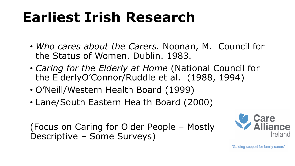### **Earliest Irish Research**

- *Who cares about the Carers.* Noonan, M. Council for the Status of Women. Dublin. 1983.
- *Caring for the Elderly at Home* (National Council for the ElderlyO'Connor/Ruddle et al. (1988, 1994)
- O'Neill/Western Health Board (1999)
- Lane/South Eastern Health Board (2000)

(Focus on Caring for Older People – Mostly Descriptive – Some Surveys)

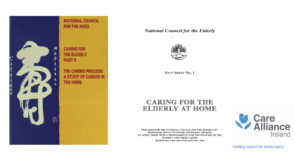

#### **National Council for the Elderly**



FACT SHEET No. 1

### CARING FOR THE ELDERLY AT HOME

PREPARED FOR THE NATIONAL COUNCIL FOR THE ELDERLY BY PROFESSOR JOYCE O'CONNOR AND EILEEN MURPHY TO ASSIST THOSE WITH A RESPONSIBILITY FOR THE WELFARE OF THE **ELDERLY AND THEIR CARERS** REPRINTED AND UPDATED JANUARY 1994

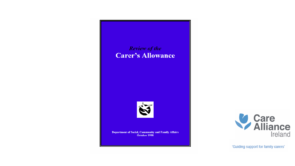### **Review of the Carer's Allowance**



**Department of Social, Community and Family Affairs** October 1998

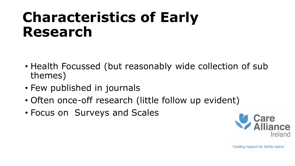### **Characteristics of Early Research**

- Health Focussed (but reasonably wide collection of sub themes)
- Few published in journals
- Often once-off research (little follow up evident)
- Focus on Surveys and Scales

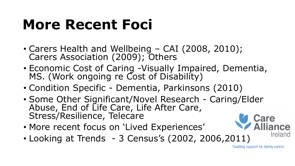### **More Recent Foci**

- Carers Health and Wellbeing CAI (2008, 2010); Carers Association (2009); Others
- Economic Cost of Caring -Visually Impaired, Dementia, MS. (Work ongoing re Cost of Disability)
- Condition Specific Dementia, Parkinsons (2010)
- Some Other Significant/Novel Research Caring/Elder Abuse, End of Life Care, Life After Care, Stress/Resilience, Telecare
- More recent focus on 'Lived Experiences'
- Looking at Trends 3 Census's (2002, 2006,2011)

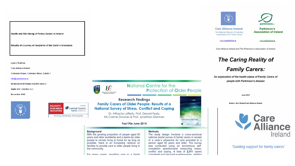Health and Well-being of Family Carers in Ireland:

Results of a survey of recipients of the Carer's Allowance

**Liam O'Sullivan** 

**Care Alliance Ireland** 

Coleraine House, Coleraine Street, Dublin 7

#### info@carealliance.ie

**RESEARCH WORKING PAPER 2008/11** 

ISBN: 978-1-905485-72-7

November 2008







#### **National Centre for the Protection of Older People**

**Research Findings Family Carers of Older People: Results of a National Survey of Stress, Conflict and Coping** 

> Dr. Attracta Lafferty, Prof. Gerard Fealy, Ms Carmel Downes & Prof. Jonathan Drennan

> > **Fact File June 2014**





With the growing proportion of people aged 65 years and older worldwide and a desire by older people to remain living at home for as long as possible, there is an increasing reliance on families to provide care to older people living in the community.

For many carers, providing care to a family

#### **Methods**

The study design involved a cross-sectional national postal survey of family carers in receipt of a carer's allowance for care provided to a person aged 65 years and older. The survey was conducted using an anonymous selfcompletion questionnaire measuring stress, conflict and coping. A total of 2,311 carers completed and returned questionnaires, vielding





**Care Alliance Ireland** The National Network of Voluntary **Organisations for Family Carers** 



www.carealliance.ie

www.parkinsons.ie

Care Alliance Ireland and The Parkinson's Association of Ireland

**The Caring Reality of** 

**Family Carers:** 

An exploration of the health status of Family Carers of people with Parkinson's disease

**June 2010** 

Author: Ann Stokes/Care Alliance Ireland

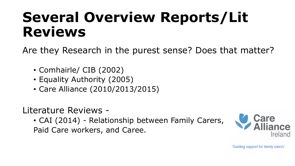### **Several Overview Reports/Lit Reviews**

Are they Research in the purest sense? Does that matter?

- Comhairle/ CIB (2002)
- Equality Authority (2005)
- Care Alliance (2010/2013/2015)

Literature Reviews -

• CAI (2014) - Relationship between Family Carers, Paid Care workers, and Caree.

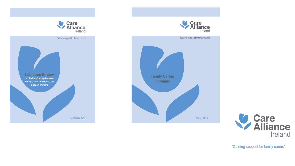



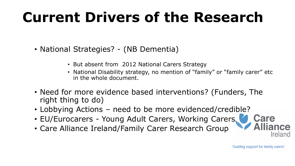# **Current Drivers of the Research**

- National Strategies? (NB Dementia)
	- But absent from 2012 National Carers Strategy
	- National Disability strategy, no mention of "family" or "family carer" etc in the whole document.
- Need for more evidence based interventions? (Funders, The right thing to do)
- Lobbying Actions need to be more evidenced/credible?
- EU/Eurocarers Young Adult Carers, Working Carers,
- Care Alliance Ireland/Family Carer Research Group

'Guiding support for family carers'

**Care** 

*<u>Ireland</u>*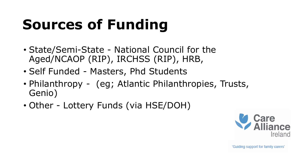# **Sources of Funding**

- State/Semi-State National Council for the Aged/NCAOP (RIP), IRCHSS (RIP), HRB,
- Self Funded Masters, Phd Students
- Philanthropy (eg; Atlantic Philanthropies, Trusts, Genio)
- Other Lottery Funds (via HSE/DOH)

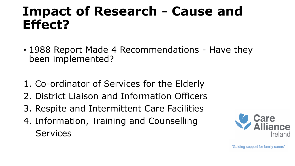### **Impact of Research - Cause and Effect?**

- 1988 Report Made 4 Recommendations Have they been implemented?
- 1. Co-ordinator of Services for the Elderly
- 2. District Liaison and Information Officers
- 3. Respite and Intermittent Care Facilities
- 4. Information, Training and Counselling **Services**

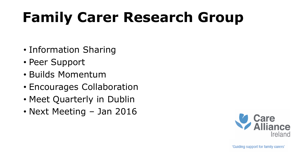## **Family Carer Research Group**

- Information Sharing
- Peer Support
- Builds Momentum
- Encourages Collaboration
- Meet Quarterly in Dublin
- Next Meeting Jan 2016

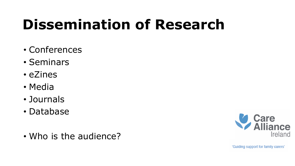# **Dissemination of Research**

- Conferences
- Seminars
- eZines
- Media
- Journals
- Database
- Who is the audience?

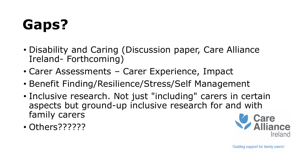# **Gaps?**

- Disability and Caring (Discussion paper, Care Alliance Ireland- Forthcoming)
- Carer Assessments Carer Experience, Impact
- Benefit Finding/Resilience/Stress/Self Management
- Inclusive research. Not just "including" carers in certain aspects but ground-up inclusive research for and with family carers
- Others??????

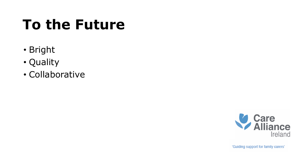## **To the Future**

- Bright
- Quality
- Collaborative

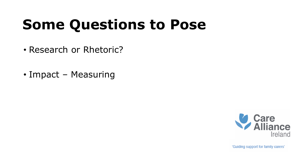# **Some Questions to Pose**

- Research or Rhetoric?
- Impact Measuring